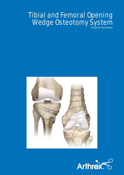# Tibial and Femoral Opening Wedge Osteotomy System Surgical Technique



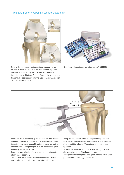## Tibial and Femoral Opening Wedge Osteotomy





Prior to the osteotomy, a diagnostic arthroscopy is performed to verify the status of the articular cartilage and menisci. Any necessary debridement and resection is carried out at this time. Focal defects in the articular surface may be addressed using the Osteochondral Autograft Transfer System (OATS).

Opening wedge osteotomy system set (AR-**13305S**)



Insert the 3mm osteotomy guide pin into the tibia (medial to lateral) and drill within 1cm of the lateral cortex. Insert the osteotomy guide assembly onto the guide pin so that the laser line on the pin aligns with the back of the guide assembly (as shown above).

Insert the parallel guide sleeve assembly onto the osteotomy guide assembly.

The parallel guide sleeve assembly should be rotated to reproduce the existing A/P slope of the tibial plateau.

Using the adjustment knob, the angle of the guide can be adjusted so the distal pins will enter the proximal tibia above the tibial tubercle. The adjustment knob is now tightened.

Drill two 2.4mm osteotomy guide pins through the drill sleeves within 1cm of the lateral cortex.

If the position is acceptable, the guide and the 3mm guide pin (placed transversely) must be removed.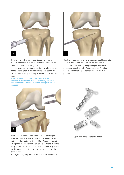

Position the cutting guide over the remaining pins. Secure it to the tibia by driving the headed pin into the central cannulation of the guide.

An oscillating saw positioned against the inferior surface of the cutting guide is used to cut the tibial cortex medially, anteriorly, and posteriorly to within 1cm of the lateral cortex.

**Note:** To prevent blockade of the saw blade and damage to the retractor, please avoid hitting the radiolucent retractor (AR-**13311**) longer and more powerfully than necessary.



Use the osteotome handle and blades, available in widths of 10, 25 and 35mm, to complete the osteotomy. Leave the "breakaway" guide pins in place with the osteotome used inferiorly. Fluoroscopic confirmation should be checked repeatedly throughout the cutting process.



Insert the Osteotomy Jack into the cut to gently open the osteotomy. The size of correction achieved can be determined using the wedge trial for HTO or the osteotomy wedge may be inserted and driven slowly with a mallet to the predetermined correction. The mm marks may be read on the wedge tines. Remove the handle and leave the tines in place.

Bone graft may be packed in the space between the tines.



Opening wedge osteotomy plates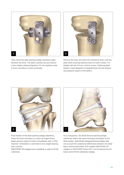

Then insert the tibial opening wedge osteotomy plate between the tines. The plate routinely sits just anterior to the medial collateral ligament. Fix two stainless steel 6.5mm cancellous screws proximally.



Remove the tines and close the osteotomy down onto the plate tooth ensuring optimum bone-to-tooth contact. Fix distally with two 4.5mm cortical screws. Following plate fixation, insert allograft or autograft bone into the anterior and posterior aspect of the defect.



Final fixation of the tibial opening wedge osteotomy. Dress the knee and place in a post-op hinged brace. Begin passive range of motion immediately with a CPM machine. Ambulation is restricted to non-weight-bearing with crutches.

INNOTERE 3D wedges bone substitute is used to fill the osteotomy.



As a comparison, the distal femoral opening wedge osteotomy utilizes the same technique principles as the tibial system. Specifically designed femoral plates take into account the anatomical differences between the distal femur and proximal tibia. ACP-soaked INNOTERE 3D wedges or INNOTERE Paste-CPC can be placed into the bone void to fill the osteotomy wedge.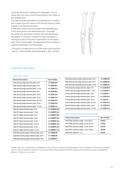Using the full-length, standing A/P radiograph, a line is drawn from the center of the femoral head to the center of the tibiotalar joint.

This demonstrates the patient's mechanical axis. Another line is drawn from the center of the femoral head to a point midway in the lateral knee joint.\*

A final line is drawn from the center of the tibiotalar joint to the same point in the lateral knee joint. The angle formed by the intersection of these two lines determines the degree of correction required to return the patient's mechanical axis to the point of intersection on the lateral side. Prior to final fixation, the alignment will be verified by external examination and fluoroscopy.

\*This point is located at 62.5% of the width of the proximal tibia (i.e., 80 mm [width of proximal tibia]  $x .625 = 50$  mm)



### Ordering Information

#### Osteotomy Plates

| <b>Product Description</b>                        | <b>Item Number</b> |
|---------------------------------------------------|--------------------|
| Tibial opening wedge osteotomy plate, 3 mm        | AR-13200-03.0      |
| Tibial opening wedge osteotomy plate, 5 mm        | AR-13200-05.0      |
| Tibial opening wedge osteotomy plate, 7.5 mm      | AR-13200-07.5      |
| Tibial opening wedge osteotomy plate, 9 mm        | AR-13200-09.0      |
| Tibial opening wedge osteotomy plate, 10 mm       | AR-13200-10.0      |
| Tibial opening wedge osteotomy plate, 11 mm       | AR-13200-11.0      |
| Tibial opening wedge osteotomy plate, 12.5 mm     | AR-13200-12.5      |
| Tibial opening wedge osteotomy plate, 15 mm       | AR-13200-15.0      |
| Tibial opening wedge osteotomy plate, 17.5 mm     | AR-13200-17.5      |
| Tibial A/P sloped osteotomy plate, 5 mm           | AR-13200PA-05.0    |
| Tibial A/P sloped osteotomy plate, 7.5 mm         | AR-13200PA-07.5    |
| Tibial A/P sloped osteotomy plate, 9 mm           | AR-13200PA-09.0    |
| Tibial A/P sloped osteotomy plate, 10 mm          | AR-13200PA-10.0    |
| Tibial A/P sloped osteotomy plate, 11 mm          | AR-13200PA-11.0    |
| Tibial A/P sloped osteotomy plate, 12.5 mm        | AR-13200PA-12.5    |
| Tibial A/P sloped osteotomy plate, 15 mm          | AR-13200PA-15.0    |
| Tibial A/P sloped osteotomy plate, 17.5 mm        | AR-13200PA-17.5    |
| Distal tibial opening wedge osteotomy plate, 5 mm | AR-13200D-05       |
| Distal tibial opening wedge osteotomy plate, 6 mm | AR-13200D-06       |
| Distal tibial opening wedge osteotomy plate, 7 mm | AR-13200D-07       |

| Distal tibial opening wedge osteotomy plate, 8 mm  | AR-13200D-08  |
|----------------------------------------------------|---------------|
| Distal tibial opening wedge osteotomy plate, 9 mm  | AR-13200D-09  |
| Distal tibial opening wedge osteotomy plate, 10 mm | AR-13200D-10  |
| Femoral opening wedge osteotomy plate, 5 mm        | AR-13100-05.0 |
| Femoral opening wedge osteotomy plate, 7.5 mm      | AR-13100-07.5 |
| Femoral opening wedge osteotomy plate, 9 mm        | AR-13100-09   |
| Femoral opening wedge osteotomy plate, 10 mm       | AR-13100-10.0 |
| Femoral opening wedge osteotomy plate, 11 mm       | AR-13100-11   |
| Femoral opening wedge osteotomy plate, 12.5 mm     | AR-13100-12.5 |
| Femoral opening wedge osteotomy plate, 15 mm       | AR-13100-15.0 |
| Femoral opening wedge osteotomy plate, 17.5 mm     | AR-13100-17.5 |

#### Recommended Bone Graft Substitute

| <b>Product Description</b>              | <b>Item Number</b> |
|-----------------------------------------|--------------------|
| INNOTERE osteotomy wedge, 7 mm x 30 mm  | 721TS1             |
| INNOTERE osteotomy wedge, 10 mm x 30 mm | 721TS2             |
| INNOTERE osteotomy wedge, 12 mm x 35 mm | 721TS3             |
| INNOTERE osteotomy wedge, 15 mm x 35 mm | 721TS4             |
| <b>INNOTERE Paste-CPC, 3 cc</b>         | 111VX2             |

Please note that not all products advertised in this brochure / surgical technique guide may be available in all countries. Please ask the Arthrex Customer Service or your local Arthrex Representative before ordering if the desired product is available for delivery. Thank you very much.